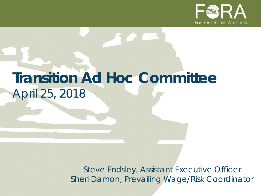

# **Transition Ad Hoc Committee** *April 25, 2018*

*Steve Endsley, Assistant Executive Officer Sheri Damon, Prevailing Wage/Risk Coordinator*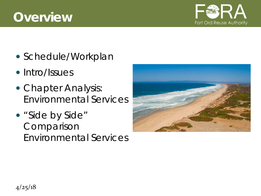## **Overview**



- Schedule/Workplan
- Intro/Issues
- Chapter Analysis: Environmental Services
- "Side by Side" Comparison Environmental Services

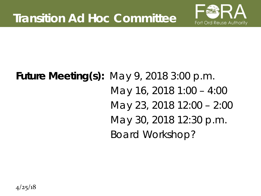

# **Future Meeting(s):** May 9, 2018 3:00 p.m. May 16, 2018 1:00 – 4:00 May 23, 2018 12:00 – 2:00 May 30, 2018 12:30 p.m. Board Workshop?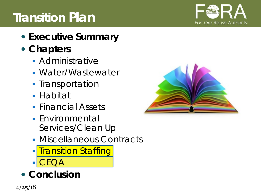# **Transition Plan**



- **Executive Summary**
- **Chapters**
	- **Administrative**
	- Water/Wastewater
	- **Transportation**
	- **Habitat**
	- **Financial Assets**
	- **Environmental** Services/Clean Up
	- **Miscellaneous Contracts**
	- **Transition Staffing**  $\mathsf{CA}$
- **Conclusion**



 $4/25/18$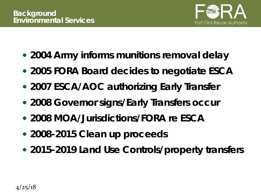

- **2004 Army informs munitions removal delay**
- **2005 FORA Board decides to negotiate ESCA**
- **2007 ESCA/AOC authorizing Early Transfer**
- **2008 Governor signs/Early Transfers occur**
- **2008 MOA/Jurisdictions/FORA re ESCA**
- **2008-2015 Clean up proceeds**
- **2015-2019 Land Use Controls/property transfers**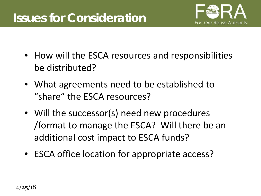### **Issues for Consideration**



- How will the ESCA resources and responsibilities be distributed?
- What agreements need to be established to "share" the ESCA resources?
- Will the successor(s) need new procedures /format to manage the ESCA? Will there be an additional cost impact to ESCA funds?
- ESCA office location for appropriate access?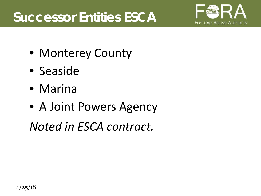# **Successor Entities ESCA**



- Monterey County
- Seaside
- Marina
- A Joint Powers Agency

*Noted in ESCA contract.*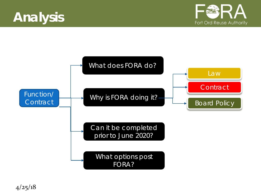



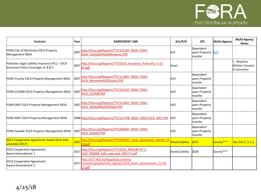

| Contract                                                                                | Year | <b>AGREEMENT LINK</b>                                                                                         | A/L/P/O         | <b>CPL</b>                             | Multi-Agency | <b>Multi-Agency</b><br><b>Notes</b>            |
|-----------------------------------------------------------------------------------------|------|---------------------------------------------------------------------------------------------------------------|-----------------|----------------------------------------|--------------|------------------------------------------------|
| FORA-City of Monterey ESCA Property<br>Management MOA                                   | 2007 | http://fora.org/Reports/TTF/121107_MOA_FORA-<br>ESCA City%20of%20Monterey.PDF                                 | A/0             | Dependent<br>upon Property<br>transfer | N/A          |                                                |
| Pollution Legal Liability Insurance (PLL) - ESCA<br>Insurance Policy Coverages A, B & C | 2007 | http://fora.org/Reports/TTF/ESCA Insurance Policy-PLL-5-15-<br>07.pdf                                         | Asset           |                                        |              | 1. Requires<br>Written Consent<br>to successor |
| FORA-County ESCA Property Management MOA                                                | 2007 | http://fora.org/Reports/TTF/121807_MOA_FORA-<br>ESCA Monterey%20County.PDF                                    | A/O             | Dependent<br>upon Property<br>transfer |              |                                                |
| FORA-CSUMB ESCA Property Management MOA                                                 | 2007 | http://fora.org/Reports/TTF/101507 MOA FORA-<br><b>ESCA CSUMB.PDF</b>                                         | A/O             | Dependent<br>upon Property<br>transfer |              |                                                |
| FORA-DRO ESCA Property Management MOA                                                   | 2007 | http://fora.org/Reports/TTF/112607 MOA FORA-<br>ESCA Del%20Rey%20Oaks.PDF                                     | A/O             | Dependent<br>upon Property<br>transfer |              |                                                |
| FORA-MPC ESCA Property Management MOA                                                   |      | 2008 http://fora.org/Reports/TTF/121708 MOA FORA-ESCA MPC.PDF A/O                                             |                 | Dependent<br>upon Property<br>transfer |              |                                                |
| FORA-Seaside ESCA Property Management MOA                                               | 2007 | http://fora.org/Reports/TTF/092007 MOA FORA-<br><b>ESCA Seaside.PDF</b>                                       | A/O             | Dependent<br>upon Property<br>transfer |              |                                                |
| <b>ESCA Cooperative Agreement Award (End date</b><br>amended 2017)                      | 2007 | http://fora.org/Reports/TTF/033007 Coop Agreement Award ES<br>CA.pdf                                          | Asset/Liability | 2037                                   | County***    | See Sch.C, 5.2.2                               |
| <b>ESCA Cooperative Agreement</b><br>Award-Amendment 1                                  | 2017 | http://fora.org/Reports/TTF/ESCA W9128F-07-2-<br>0162 P00008 fully executed 090717.pdf                        | Asset/Liability | 2028                                   | County***    |                                                |
| <b>ESCA Cooperative Agreement</b><br>Award-Amendment 2                                  |      | http://b77.402.myftpupload.com/wp-<br>2017 content/uploads/Fully signed ESCA Grant Amendment 12-20-<br>17.pdf |                 |                                        |              |                                                |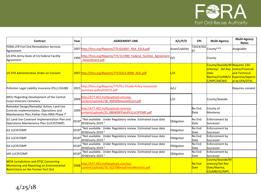

| Contract                                                                                                                                | Year  | <b>AGREEMENT LINK</b>                                                                 | A/L/P/O         | <b>CPL</b>     | <b>Multi-Agency</b>                                                                                                                 | <b>Multi-Agency</b><br><b>Notes</b> |
|-----------------------------------------------------------------------------------------------------------------------------------------|-------|---------------------------------------------------------------------------------------|-----------------|----------------|-------------------------------------------------------------------------------------------------------------------------------------|-------------------------------------|
| <b>FORA-LFR Fort Ord Remediation Services</b><br>Agreement                                                                              |       | 2007 http://fora.org/Reports/TTF/033007 RSA ESCA.pdf                                  | Asset/Liability | 0?             | ?2019/202 County***                                                                                                                 | Assignable                          |
| US EPA-Army-State of CA Federal Facility<br>Agreement                                                                                   | 1990  | http://fora.org/Reports/TTF/111990 Federal Facilites Agreement 0/L<br>Amendment.pdf   |                 |                | County                                                                                                                              |                                     |
| US EPA Administrative Order on Consent                                                                                                  |       | 2007 http://fora.org/Reports/TTF/ESCA-0099 AOC.pdf                                    | /0              |                | County/Seaside/M Requires 120-<br>onterey/ Del Rey notice/Financial<br><b>Oaks</b><br>Marina/CSUMB/U Expertise/Approv<br>C/MPC/MCWD | and Technical<br>al by EPA/DTSC     |
| Pollution Legal Liability Insurance (PLL) CHUBB                                                                                         | 2015  | http://fora.org/Reports/TTF/PLL-Chubb-Policy-transmital-<br>summary-policy010215.pdf  | A/L/            |                |                                                                                                                                     | Requires consent                    |
| MOU Regarding Development of the Central<br>Coast Veterans Cemetery                                                                     | 2009  | http://b77.402.myftpupload.com/wp-<br>:ontent/uploads/18 050509mouVetCem.pdf          | L/O             |                | County/Seaside                                                                                                                      |                                     |
| Remedial Design/Remedial Action, Land Use<br>Controls Implementation, Operations and<br>Maintenance Plan, Parker Flats MRA Phase I*     | 2009  | http://b77.402.myftpupload.com/wp-<br>content/uploads/21_080409PFlatsPh1LUCIPOMP.pdf  |                 | No End<br>Date | County of<br>Monterey                                                                                                               |                                     |
| G1 Land Use Covenant Implementation Plan and<br>Operations Maintenance Plan (LUCIP/OMP)                                                 | 2018* | "Not available. Under Regulatory review. Estimated issue date<br>2018/early 2019."    | Obligation      | No End<br>Date | Enforcement by<br>Successor                                                                                                         |                                     |
| G2 LUCIP/OMP                                                                                                                            | 2018* | "Not available. Under Regulatory review. Estimated issue date<br>2018/early 2019."    | Obligation      | No End<br>Date | Enforcement by<br>Successor                                                                                                         |                                     |
| G3 LUCIP/OMP                                                                                                                            | 2018* | "Not available. Under Regulatory review. Estimated issue date<br>2018/early 2019."    | Obligation      | No End<br>Date | Enforcement by<br>Successor                                                                                                         |                                     |
| G4 LUCIP/OMP                                                                                                                            | 2018* | "Not available. Under Regulatory review. Estimated issue date<br>2018/early 2019."    | Obligation      | No End<br>Date | Enforcement by<br>Successor                                                                                                         |                                     |
| <b>IAR LUCIP/OMP</b>                                                                                                                    | 2018  | "Not available. Under Regulatory review. Estimated issue date<br>2018/early 2019."    | Obligation      | No End<br>Date | Enforcement by<br>Successor                                                                                                         |                                     |
| <b>MOA Jurisdictions and DTSC Concerning</b><br>Monitoring and Reporting on Environmental<br><b>Restrictions on the Former Fort Ord</b> | 2008  | http://b77.402.myftpupload.com/wp-<br>content/uploads/16 022708moaEnviroRestricts.pdf |                 | No End<br>Date | County/Seaside/M<br>onterey/Del Rey<br>Oaks/Marina,<br>CSUMB/UC/MPC                                                                 |                                     |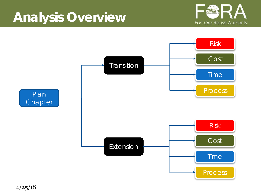# **Analysis Overview**





4/25/18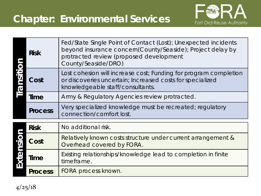

|  | <b>Risk</b>    | Fed/State Single Point of Contact (Lost); Unexpected incidents<br>beyond insurance concern(County/Seaside); Project delay by<br>protracted review (proposed development |  |  |  |  |
|--|----------------|-------------------------------------------------------------------------------------------------------------------------------------------------------------------------|--|--|--|--|
|  |                | County/Seaside/DRO)                                                                                                                                                     |  |  |  |  |
|  | Cost           | Lost cohesion will increase cost; Funding for program completion<br>or discoveries uncertain; Increased costs for specialized<br>knowledgeable staff/consultants.       |  |  |  |  |
|  | Time           | Army & Regulatory Agencies review protracted.                                                                                                                           |  |  |  |  |
|  | <b>Process</b> | Very specialized knowledge must be recreated; regulatory<br>connection/comfort lost.                                                                                    |  |  |  |  |
|  | <b>Risk</b>    | No additional risk.                                                                                                                                                     |  |  |  |  |

| <b>Risk</b>    | No additional risk.                                                                       |
|----------------|-------------------------------------------------------------------------------------------|
| Cost           | Relatively known costs structure under current arrangement &<br>Overhead covered by FORA. |
| Time           | Existing relationships/knowledge lead to completion in finite<br>timeframe.               |
| <b>Process</b> | FORA process known.                                                                       |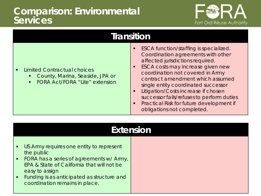#### **Comparison: Environmental Services**



| <b>Limited Contractual choices</b><br>County, Marina, Seaside, JPA or<br>$\mathbf{E}(\mathbf{r})$<br><b>FORA Act/FORA "Lite" extension</b><br>$\blacksquare$ | ESCA function/staffing is specialized.<br>Coordination agreements with other<br>affected jurisdictions required.<br>ESCA costs may increase given new<br>coordination not covered in Army<br>contract amendment which assumed<br>single entity coordinated successor<br>Litigation/Costs increase if chosen<br>successor fails/refuses to perform duties<br>Practical Risk for future development if<br>obligations not completed. |
|--------------------------------------------------------------------------------------------------------------------------------------------------------------|------------------------------------------------------------------------------------------------------------------------------------------------------------------------------------------------------------------------------------------------------------------------------------------------------------------------------------------------------------------------------------------------------------------------------------|

| <b>Extension</b>                                                                                                                                                                                                                                         |  |  |  |  |
|----------------------------------------------------------------------------------------------------------------------------------------------------------------------------------------------------------------------------------------------------------|--|--|--|--|
| • US Army requires one entity to represent<br>the public<br>• FORA has a series of agreements w/ Army,<br>EPA & State of California that will not be<br>easy to assign<br>• Funding is as anticipated as structure and<br>coordination remains in place. |  |  |  |  |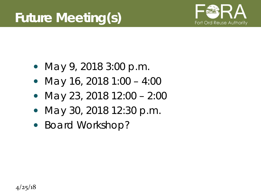

- May 9, 2018 3:00 p.m.
- May 16, 2018 1:00 4:00
- May 23, 2018 12:00 2:00
- May 30, 2018 12:30 p.m.
- Board Workshop?